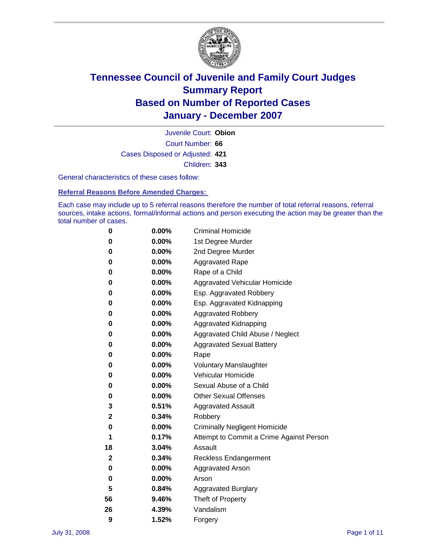

Court Number: **66** Juvenile Court: **Obion** Cases Disposed or Adjusted: **421** Children: **343**

General characteristics of these cases follow:

**Referral Reasons Before Amended Charges:** 

Each case may include up to 5 referral reasons therefore the number of total referral reasons, referral sources, intake actions, formal/informal actions and person executing the action may be greater than the total number of cases.

| 0  | 0.00%    | <b>Criminal Homicide</b>                 |
|----|----------|------------------------------------------|
| 0  | 0.00%    | 1st Degree Murder                        |
| 0  | $0.00\%$ | 2nd Degree Murder                        |
| 0  | 0.00%    | <b>Aggravated Rape</b>                   |
| 0  | 0.00%    | Rape of a Child                          |
| 0  | 0.00%    | Aggravated Vehicular Homicide            |
| 0  | 0.00%    | Esp. Aggravated Robbery                  |
| 0  | 0.00%    | Esp. Aggravated Kidnapping               |
| 0  | 0.00%    | <b>Aggravated Robbery</b>                |
| 0  | $0.00\%$ | Aggravated Kidnapping                    |
| 0  | 0.00%    | Aggravated Child Abuse / Neglect         |
| 0  | $0.00\%$ | <b>Aggravated Sexual Battery</b>         |
| 0  | 0.00%    | Rape                                     |
| 0  | 0.00%    | <b>Voluntary Manslaughter</b>            |
| 0  | 0.00%    | Vehicular Homicide                       |
| 0  | 0.00%    | Sexual Abuse of a Child                  |
| 0  | 0.00%    | <b>Other Sexual Offenses</b>             |
| 3  | 0.51%    | <b>Aggravated Assault</b>                |
| 2  | 0.34%    | Robbery                                  |
| 0  | 0.00%    | <b>Criminally Negligent Homicide</b>     |
| 1  | 0.17%    | Attempt to Commit a Crime Against Person |
| 18 | 3.04%    | Assault                                  |
| 2  | 0.34%    | <b>Reckless Endangerment</b>             |
| 0  | 0.00%    | Aggravated Arson                         |
| 0  | 0.00%    | Arson                                    |
| 5  | 0.84%    | <b>Aggravated Burglary</b>               |
| 56 | 9.46%    | Theft of Property                        |
| 26 | 4.39%    | Vandalism                                |
| 9  | 1.52%    | Forgery                                  |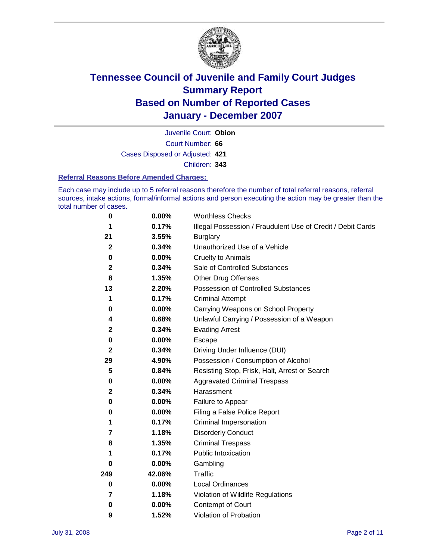

Court Number: **66** Juvenile Court: **Obion** Cases Disposed or Adjusted: **421** Children: **343**

#### **Referral Reasons Before Amended Charges:**

Each case may include up to 5 referral reasons therefore the number of total referral reasons, referral sources, intake actions, formal/informal actions and person executing the action may be greater than the total number of cases.

| 0            | 0.00%    | <b>Worthless Checks</b>                                     |
|--------------|----------|-------------------------------------------------------------|
| 1            | 0.17%    | Illegal Possession / Fraudulent Use of Credit / Debit Cards |
| 21           | 3.55%    | <b>Burglary</b>                                             |
| $\mathbf{2}$ | 0.34%    | Unauthorized Use of a Vehicle                               |
| $\pmb{0}$    | 0.00%    | <b>Cruelty to Animals</b>                                   |
| $\mathbf 2$  | 0.34%    | Sale of Controlled Substances                               |
| 8            | 1.35%    | <b>Other Drug Offenses</b>                                  |
| 13           | 2.20%    | <b>Possession of Controlled Substances</b>                  |
| 1            | 0.17%    | <b>Criminal Attempt</b>                                     |
| 0            | 0.00%    | Carrying Weapons on School Property                         |
| 4            | 0.68%    | Unlawful Carrying / Possession of a Weapon                  |
| $\mathbf 2$  | 0.34%    | <b>Evading Arrest</b>                                       |
| 0            | 0.00%    | Escape                                                      |
| $\mathbf{2}$ | 0.34%    | Driving Under Influence (DUI)                               |
| 29           | 4.90%    | Possession / Consumption of Alcohol                         |
| 5            | 0.84%    | Resisting Stop, Frisk, Halt, Arrest or Search               |
| 0            | $0.00\%$ | <b>Aggravated Criminal Trespass</b>                         |
| $\mathbf 2$  | 0.34%    | Harassment                                                  |
| $\bf{0}$     | $0.00\%$ | Failure to Appear                                           |
| 0            | 0.00%    | Filing a False Police Report                                |
| 1            | 0.17%    | Criminal Impersonation                                      |
| 7            | 1.18%    | <b>Disorderly Conduct</b>                                   |
| 8            | 1.35%    | <b>Criminal Trespass</b>                                    |
| 1            | 0.17%    | <b>Public Intoxication</b>                                  |
| 0            | $0.00\%$ | Gambling                                                    |
| 249          | 42.06%   | Traffic                                                     |
| 0            | 0.00%    | <b>Local Ordinances</b>                                     |
| 7            | 1.18%    | Violation of Wildlife Regulations                           |
| 0            | $0.00\%$ | Contempt of Court                                           |
| 9            | 1.52%    | Violation of Probation                                      |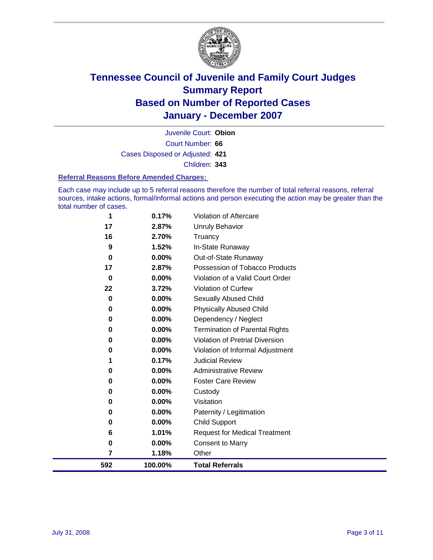

Court Number: **66** Juvenile Court: **Obion** Cases Disposed or Adjusted: **421** Children: **343**

#### **Referral Reasons Before Amended Charges:**

Each case may include up to 5 referral reasons therefore the number of total referral reasons, referral sources, intake actions, formal/informal actions and person executing the action may be greater than the total number of cases.

| 592            | 100.00%           | <b>Total Referrals</b>                                 |
|----------------|-------------------|--------------------------------------------------------|
| 7              | 1.18%             | Other                                                  |
| 0              | 0.00%             | <b>Consent to Marry</b>                                |
| 6              | 1.01%             | <b>Request for Medical Treatment</b>                   |
| 0              | 0.00%             | <b>Child Support</b>                                   |
| 0              | 0.00%             | Paternity / Legitimation                               |
| 0              | 0.00%             | Visitation                                             |
| 0              | 0.00%             | Custody                                                |
| 0              | 0.00%             | <b>Foster Care Review</b>                              |
| 0              | 0.00%             | <b>Administrative Review</b>                           |
| 1              | 0.17%             | <b>Judicial Review</b>                                 |
| 0              | 0.00%             | Violation of Informal Adjustment                       |
| 0              | 0.00%             | <b>Violation of Pretrial Diversion</b>                 |
| 0              | 0.00%             | <b>Termination of Parental Rights</b>                  |
| $\bf{0}$       | 0.00%             | Dependency / Neglect                                   |
| $\bf{0}$       | 0.00%             | <b>Physically Abused Child</b>                         |
| $\bf{0}$       | 0.00%             | <b>Sexually Abused Child</b>                           |
| 22             | 3.72%             | Violation of Curfew                                    |
| 0              | 2.87%<br>$0.00\%$ | Violation of a Valid Court Order                       |
| $\bf{0}$<br>17 | 0.00%             | Out-of-State Runaway<br>Possession of Tobacco Products |
| 9              | 1.52%             | In-State Runaway                                       |
| 16             | 2.70%             | Truancy                                                |
| 17             | 2.87%             | Unruly Behavior                                        |
| 1              | 0.17%             | Violation of Aftercare                                 |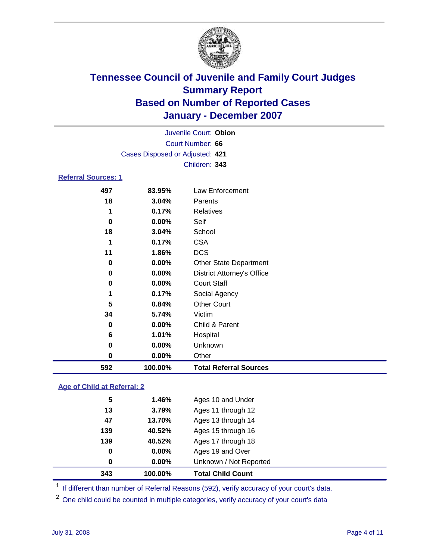

|                            |                                 | Juvenile Court: Obion |  |  |  |
|----------------------------|---------------------------------|-----------------------|--|--|--|
|                            | Court Number: 66                |                       |  |  |  |
|                            | Cases Disposed or Adjusted: 421 |                       |  |  |  |
|                            | Children: 343                   |                       |  |  |  |
| <b>Referral Sources: 1</b> |                                 |                       |  |  |  |
| 497                        | 83.95%                          | Law Enforcement       |  |  |  |

| 592 | 100.00%  | <b>Total Referral Sources</b>     |  |
|-----|----------|-----------------------------------|--|
| 0   | $0.00\%$ | Other                             |  |
| 0   | 0.00%    | Unknown                           |  |
| 6   | 1.01%    | Hospital                          |  |
| 0   | 0.00%    | Child & Parent                    |  |
| 34  | 5.74%    | Victim                            |  |
| 5   | 0.84%    | <b>Other Court</b>                |  |
| 1   | 0.17%    | Social Agency                     |  |
| 0   | 0.00%    | <b>Court Staff</b>                |  |
| 0   | 0.00%    | <b>District Attorney's Office</b> |  |
| 0   | 0.00%    | <b>Other State Department</b>     |  |
| 11  | 1.86%    | <b>DCS</b>                        |  |
| 1   | 0.17%    | <b>CSA</b>                        |  |
| 18  | 3.04%    | School                            |  |
| 0   | 0.00%    | Self                              |  |
| 1   | 0.17%    | Relatives                         |  |
| 18  | 3.04%    | Parents                           |  |
| 491 | 0J.JJ /0 | LAW LINUICUICIII                  |  |

### **Age of Child at Referral: 2**

| 343 | 100.00% | <b>Total Child Count</b> |  |
|-----|---------|--------------------------|--|
| 0   | 0.00%   | Unknown / Not Reported   |  |
| 0   | 0.00%   | Ages 19 and Over         |  |
| 139 | 40.52%  | Ages 17 through 18       |  |
| 139 | 40.52%  | Ages 15 through 16       |  |
| 47  | 13.70%  | Ages 13 through 14       |  |
| 13  | 3.79%   | Ages 11 through 12       |  |
| 5   | 1.46%   | Ages 10 and Under        |  |
|     |         |                          |  |

<sup>1</sup> If different than number of Referral Reasons (592), verify accuracy of your court's data.

One child could be counted in multiple categories, verify accuracy of your court's data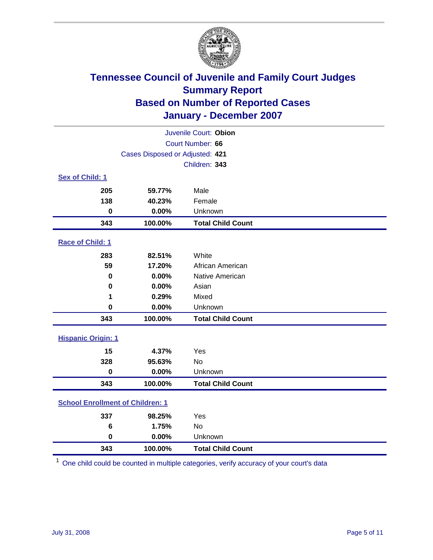

|                                         |                                 | Juvenile Court: Obion    |  |  |  |
|-----------------------------------------|---------------------------------|--------------------------|--|--|--|
| Court Number: 66                        |                                 |                          |  |  |  |
|                                         | Cases Disposed or Adjusted: 421 |                          |  |  |  |
|                                         |                                 | Children: 343            |  |  |  |
| Sex of Child: 1                         |                                 |                          |  |  |  |
| 205                                     | 59.77%                          | Male                     |  |  |  |
| 138                                     | 40.23%                          | Female                   |  |  |  |
| $\bf{0}$                                | 0.00%                           | Unknown                  |  |  |  |
| 343                                     | 100.00%                         | <b>Total Child Count</b> |  |  |  |
| Race of Child: 1                        |                                 |                          |  |  |  |
| 283                                     | 82.51%                          | White                    |  |  |  |
| 59                                      | 17.20%                          | African American         |  |  |  |
| 0                                       | 0.00%                           | Native American          |  |  |  |
| $\bf{0}$                                | 0.00%                           | Asian                    |  |  |  |
| 1                                       | 0.29%                           | Mixed                    |  |  |  |
| $\mathbf 0$                             | 0.00%                           | Unknown                  |  |  |  |
| 343                                     | 100.00%                         | <b>Total Child Count</b> |  |  |  |
| <b>Hispanic Origin: 1</b>               |                                 |                          |  |  |  |
| 15                                      | 4.37%                           | Yes                      |  |  |  |
| 328                                     | 95.63%                          | <b>No</b>                |  |  |  |
| $\mathbf 0$                             | 0.00%                           | Unknown                  |  |  |  |
| 343                                     | 100.00%                         | <b>Total Child Count</b> |  |  |  |
| <b>School Enrollment of Children: 1</b> |                                 |                          |  |  |  |
| 337                                     | 98.25%                          | Yes                      |  |  |  |
| 6                                       | 1.75%                           | No                       |  |  |  |
| $\mathbf 0$                             | 0.00%                           | Unknown                  |  |  |  |
| 343                                     | 100.00%                         | <b>Total Child Count</b> |  |  |  |

One child could be counted in multiple categories, verify accuracy of your court's data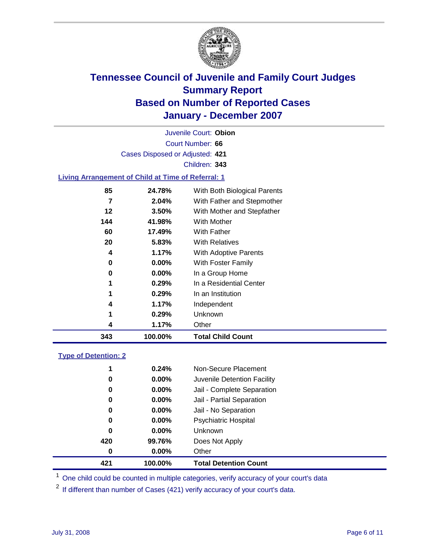

Court Number: **66** Juvenile Court: **Obion** Cases Disposed or Adjusted: **421** Children: **343 Living Arrangement of Child at Time of Referral: 1**

| 343 | 100.00%  | <b>Total Child Count</b>     |
|-----|----------|------------------------------|
| 4   | 1.17%    | Other                        |
| 1   | 0.29%    | Unknown                      |
| 4   | 1.17%    | Independent                  |
| 1   | 0.29%    | In an Institution            |
| 1   | 0.29%    | In a Residential Center      |
| 0   | $0.00\%$ | In a Group Home              |
| 0   | $0.00\%$ | With Foster Family           |
| 4   | 1.17%    | With Adoptive Parents        |
| 20  | 5.83%    | <b>With Relatives</b>        |
| 60  | 17.49%   | <b>With Father</b>           |
| 144 | 41.98%   | With Mother                  |
| 12  | 3.50%    | With Mother and Stepfather   |
| 7   | 2.04%    | With Father and Stepmother   |
| 85  | 24.78%   | With Both Biological Parents |
|     |          |                              |

### **Type of Detention: 2**

| 421 | 100.00%  | <b>Total Detention Count</b> |
|-----|----------|------------------------------|
| 0   | 0.00%    | Other                        |
| 420 | 99.76%   | Does Not Apply               |
| 0   | $0.00\%$ | <b>Unknown</b>               |
| 0   | 0.00%    | <b>Psychiatric Hospital</b>  |
| 0   | 0.00%    | Jail - No Separation         |
| 0   | 0.00%    | Jail - Partial Separation    |
| 0   | $0.00\%$ | Jail - Complete Separation   |
| 0   | 0.00%    | Juvenile Detention Facility  |
| 1   | 0.24%    | Non-Secure Placement         |
|     |          |                              |

<sup>1</sup> One child could be counted in multiple categories, verify accuracy of your court's data

<sup>2</sup> If different than number of Cases (421) verify accuracy of your court's data.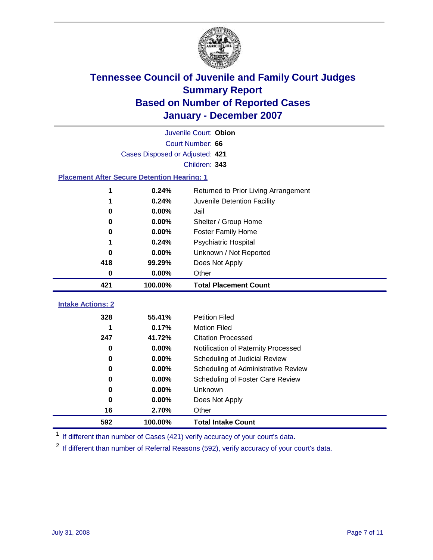

|                                                    | Juvenile Court: Obion           |                                      |  |  |  |  |
|----------------------------------------------------|---------------------------------|--------------------------------------|--|--|--|--|
|                                                    | Court Number: 66                |                                      |  |  |  |  |
|                                                    | Cases Disposed or Adjusted: 421 |                                      |  |  |  |  |
|                                                    |                                 | Children: 343                        |  |  |  |  |
| <b>Placement After Secure Detention Hearing: 1</b> |                                 |                                      |  |  |  |  |
| 1                                                  | 0.24%                           | Returned to Prior Living Arrangement |  |  |  |  |
| 1                                                  | 0.24%                           | Juvenile Detention Facility          |  |  |  |  |
| 0                                                  | 0.00%                           | Jail                                 |  |  |  |  |
| 0                                                  | 0.00%                           | Shelter / Group Home                 |  |  |  |  |
| 0                                                  | 0.00%                           | <b>Foster Family Home</b>            |  |  |  |  |
| 1                                                  | 0.24%                           | Psychiatric Hospital                 |  |  |  |  |
| 0                                                  | 0.00%                           | Unknown / Not Reported               |  |  |  |  |
| 418                                                | 99.29%                          | Does Not Apply                       |  |  |  |  |
| $\bf{0}$                                           | 0.00%                           | Other                                |  |  |  |  |
| 421                                                | 100.00%                         | <b>Total Placement Count</b>         |  |  |  |  |
| <b>Intake Actions: 2</b>                           |                                 |                                      |  |  |  |  |
| 328                                                | 55.41%                          | <b>Petition Filed</b>                |  |  |  |  |
| 1                                                  | 0.17%                           | <b>Motion Filed</b>                  |  |  |  |  |
| 247                                                | 41.72%                          | <b>Citation Processed</b>            |  |  |  |  |
| $\bf{0}$                                           | 0.00%                           | Notification of Paternity Processed  |  |  |  |  |
| 0                                                  | 0.00%                           | Scheduling of Judicial Review        |  |  |  |  |
| 0                                                  | 0.00%                           | Scheduling of Administrative Review  |  |  |  |  |
| 0                                                  | 0.00%                           | Scheduling of Foster Care Review     |  |  |  |  |
| $\bf{0}$                                           | 0.00%                           | Unknown                              |  |  |  |  |
| $\bf{0}$                                           | 0.00%                           | Does Not Apply                       |  |  |  |  |
| 16                                                 | 2.70%                           | Other                                |  |  |  |  |
| 592                                                | 100.00%                         | <b>Total Intake Count</b>            |  |  |  |  |

<sup>1</sup> If different than number of Cases (421) verify accuracy of your court's data.

<sup>2</sup> If different than number of Referral Reasons (592), verify accuracy of your court's data.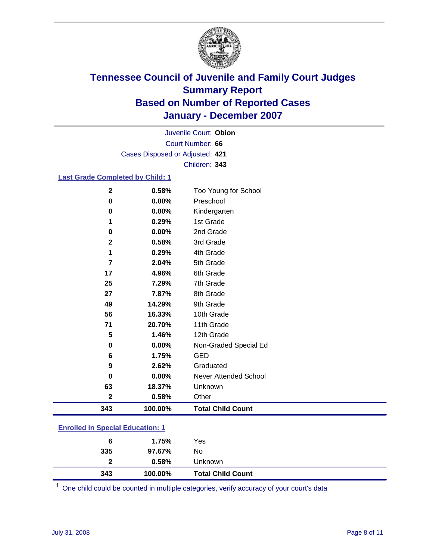

Court Number: **66** Juvenile Court: **Obion** Cases Disposed or Adjusted: **421** Children: **343**

### **Last Grade Completed by Child: 1**

| 343         | 100.00% | <b>Total Child Count</b> |
|-------------|---------|--------------------------|
| $\mathbf 2$ | 0.58%   | Other                    |
| 63          | 18.37%  | Unknown                  |
| $\bf{0}$    | 0.00%   | Never Attended School    |
| 9           | 2.62%   | Graduated                |
| 6           | 1.75%   | <b>GED</b>               |
| 0           | 0.00%   | Non-Graded Special Ed    |
| 5           | 1.46%   | 12th Grade               |
| 71          | 20.70%  | 11th Grade               |
| 56          | 16.33%  | 10th Grade               |
| 49          | 14.29%  | 9th Grade                |
| 27          | 7.87%   | 8th Grade                |
| 25          | 7.29%   | 7th Grade                |
| 17          | 4.96%   | 6th Grade                |
| 7           | 2.04%   | 5th Grade                |
| 1           | 0.29%   | 4th Grade                |
| $\mathbf 2$ | 0.58%   | 3rd Grade                |
| 0           | 0.00%   | 2nd Grade                |
| 1           | 0.29%   | 1st Grade                |
| $\bf{0}$    | 0.00%   | Kindergarten             |
| 0           | 0.00%   | Preschool                |
| $\mathbf 2$ | 0.58%   | Too Young for School     |

### **Enrolled in Special Education: 1**

| $\mathbf{c}$<br>343 | 0.58%<br>100.00% | Unknown<br><b>Total Child Count</b> |  |
|---------------------|------------------|-------------------------------------|--|
| 335                 | 97.67%           | No                                  |  |
| 6                   | 1.75%            | Yes                                 |  |

<sup>1</sup> One child could be counted in multiple categories, verify accuracy of your court's data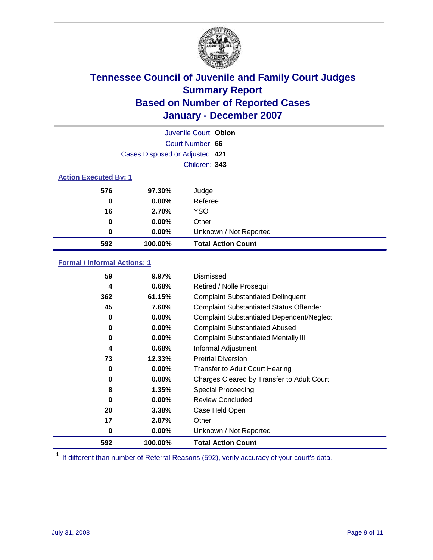

|                              |                                 | Juvenile Court: Obion     |
|------------------------------|---------------------------------|---------------------------|
|                              |                                 | Court Number: 66          |
|                              | Cases Disposed or Adjusted: 421 |                           |
|                              |                                 | Children: 343             |
| <b>Action Executed By: 1</b> |                                 |                           |
| 576                          | 97.30%                          | Judge                     |
| 0                            | $0.00\%$                        | Referee                   |
| 16                           | 2.70%                           | <b>YSO</b>                |
| 0                            | $0.00\%$                        | Other                     |
| 0                            | $0.00\%$                        | Unknown / Not Reported    |
| 592                          | 100.00%                         | <b>Total Action Count</b> |

### **Formal / Informal Actions: 1**

| 59  | $9.97\%$ | Dismissed                                        |
|-----|----------|--------------------------------------------------|
| 4   | 0.68%    | Retired / Nolle Prosequi                         |
| 362 | 61.15%   | <b>Complaint Substantiated Delinquent</b>        |
| 45  | 7.60%    | <b>Complaint Substantiated Status Offender</b>   |
| 0   | $0.00\%$ | <b>Complaint Substantiated Dependent/Neglect</b> |
| 0   | $0.00\%$ | <b>Complaint Substantiated Abused</b>            |
| 0   | $0.00\%$ | <b>Complaint Substantiated Mentally III</b>      |
| 4   | 0.68%    | Informal Adjustment                              |
| 73  | 12.33%   | <b>Pretrial Diversion</b>                        |
| 0   | $0.00\%$ | <b>Transfer to Adult Court Hearing</b>           |
| 0   | $0.00\%$ | Charges Cleared by Transfer to Adult Court       |
| 8   | 1.35%    | Special Proceeding                               |
| 0   | $0.00\%$ | <b>Review Concluded</b>                          |
| 20  | 3.38%    | Case Held Open                                   |
| 17  | 2.87%    | Other                                            |
| 0   | 0.00%    | Unknown / Not Reported                           |
| 592 | 100.00%  | <b>Total Action Count</b>                        |

<sup>1</sup> If different than number of Referral Reasons (592), verify accuracy of your court's data.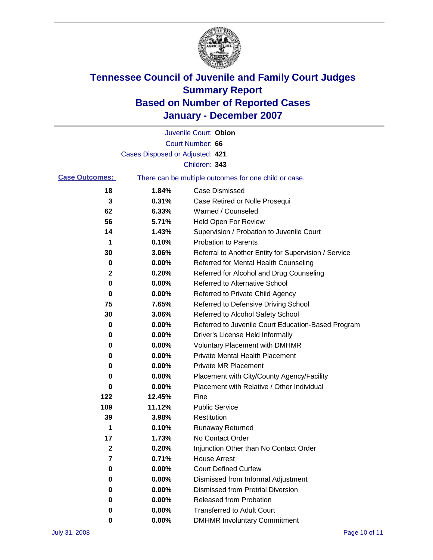

|                       |                                 | Juvenile Court: Obion                                 |
|-----------------------|---------------------------------|-------------------------------------------------------|
|                       |                                 | Court Number: 66                                      |
|                       | Cases Disposed or Adjusted: 421 |                                                       |
|                       |                                 | Children: 343                                         |
| <b>Case Outcomes:</b> |                                 | There can be multiple outcomes for one child or case. |
| 18                    | 1.84%                           | <b>Case Dismissed</b>                                 |
| 3                     | 0.31%                           | Case Retired or Nolle Prosequi                        |
| 62                    | 6.33%                           | Warned / Counseled                                    |
| 56                    | 5.71%                           | Held Open For Review                                  |
| 14                    | 1.43%                           | Supervision / Probation to Juvenile Court             |
| 1                     | 0.10%                           | <b>Probation to Parents</b>                           |
| 30                    | 3.06%                           | Referral to Another Entity for Supervision / Service  |
| 0                     | 0.00%                           | Referred for Mental Health Counseling                 |
| 2                     | 0.20%                           | Referred for Alcohol and Drug Counseling              |
| 0                     | 0.00%                           | <b>Referred to Alternative School</b>                 |
| 0                     | 0.00%                           | Referred to Private Child Agency                      |
| 75                    | 7.65%                           | Referred to Defensive Driving School                  |
| 30                    | 3.06%                           | Referred to Alcohol Safety School                     |
| 0                     | 0.00%                           | Referred to Juvenile Court Education-Based Program    |
| 0                     | 0.00%                           | Driver's License Held Informally                      |
| 0                     | 0.00%                           | <b>Voluntary Placement with DMHMR</b>                 |
| 0                     | 0.00%                           | Private Mental Health Placement                       |
| 0                     | 0.00%                           | <b>Private MR Placement</b>                           |
| 0                     | 0.00%                           | Placement with City/County Agency/Facility            |
| 0                     | 0.00%                           | Placement with Relative / Other Individual            |
| 122                   | 12.45%                          | Fine                                                  |
| 109                   | 11.12%                          | <b>Public Service</b>                                 |
| 39                    | 3.98%                           | Restitution                                           |
| 1                     | 0.10%                           | <b>Runaway Returned</b>                               |
| 17                    | 1.73%                           | No Contact Order                                      |
| 2                     | 0.20%                           | Injunction Other than No Contact Order                |
| 7                     | 0.71%                           | <b>House Arrest</b>                                   |
| 0                     | 0.00%                           | <b>Court Defined Curfew</b>                           |
| 0                     | 0.00%                           | Dismissed from Informal Adjustment                    |
| 0                     | 0.00%                           | <b>Dismissed from Pretrial Diversion</b>              |
| 0                     | 0.00%                           | Released from Probation                               |
| 0                     | 0.00%                           | <b>Transferred to Adult Court</b>                     |
| 0                     | $0.00\%$                        | <b>DMHMR Involuntary Commitment</b>                   |